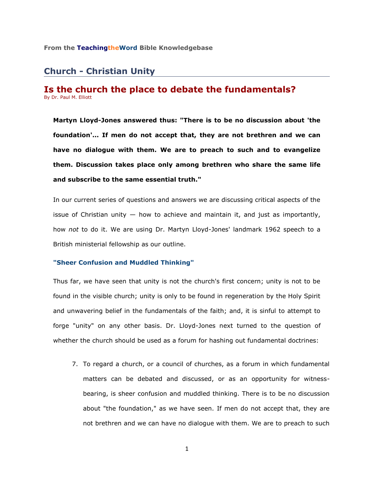# **Church - Christian Unity**

# **Is the church the place to debate the fundamentals?** By Dr. Paul M. Elliott

**Martyn Lloyd-Jones answered thus: "There is to be no discussion about 'the foundation'... If men do not accept that, they are not brethren and we can have no dialogue with them. We are to preach to such and to evangelize them. Discussion takes place only among brethren who share the same life and subscribe to the same essential truth."** 

In our current series of questions and answers we are discussing critical aspects of the issue of Christian unity  $-$  how to achieve and maintain it, and just as importantly, how *not* to do it. We are using Dr. Martyn Lloyd-Jones' landmark 1962 speech to a British ministerial fellowship as our outline.

### **"Sheer Confusion and Muddled Thinking"**

Thus far, we have seen that unity is not the church's first concern; unity is not to be found in the visible church; unity is only to be found in regeneration by the Holy Spirit and unwavering belief in the fundamentals of the faith; and, it is sinful to attempt to forge "unity" on any other basis. Dr. Lloyd-Jones next turned to the question of whether the church should be used as a forum for hashing out fundamental doctrines:

7. To regard a church, or a council of churches, as a forum in which fundamental matters can be debated and discussed, or as an opportunity for witnessbearing, is sheer confusion and muddled thinking. There is to be no discussion about "the foundation," as we have seen. If men do not accept that, they are not brethren and we can have no dialogue with them. We are to preach to such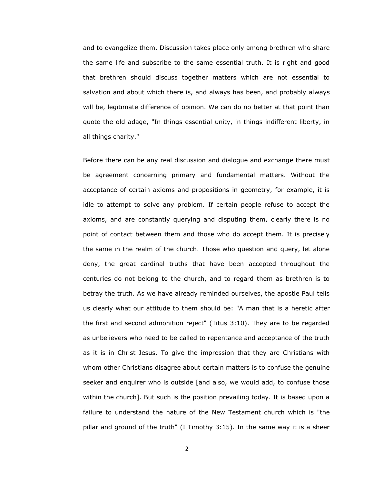and to evangelize them. Discussion takes place only among brethren who share the same life and subscribe to the same essential truth. It is right and good that brethren should discuss together matters which are not essential to salvation and about which there is, and always has been, and probably always will be, legitimate difference of opinion. We can do no better at that point than quote the old adage, "In things essential unity, in things indifferent liberty, in all things charity."

Before there can be any real discussion and dialogue and exchange there must be agreement concerning primary and fundamental matters. Without the acceptance of certain axioms and propositions in geometry, for example, it is idle to attempt to solve any problem. If certain people refuse to accept the axioms, and are constantly querying and disputing them, clearly there is no point of contact between them and those who do accept them. It is precisely the same in the realm of the church. Those who question and query, let alone deny, the great cardinal truths that have been accepted throughout the centuries do not belong to the church, and to regard them as brethren is to betray the truth. As we have already reminded ourselves, the apostle Paul tells us clearly what our attitude to them should be: "A man that is a heretic after the first and second admonition reject" (Titus 3:10). They are to be regarded as unbelievers who need to be called to repentance and acceptance of the truth as it is in Christ Jesus. To give the impression that they are Christians with whom other Christians disagree about certain matters is to confuse the genuine seeker and enquirer who is outside [and also, we would add, to confuse those within the church]. But such is the position prevailing today. It is based upon a failure to understand the nature of the New Testament church which is "the pillar and ground of the truth" (I Timothy 3:15). In the same way it is a sheer

2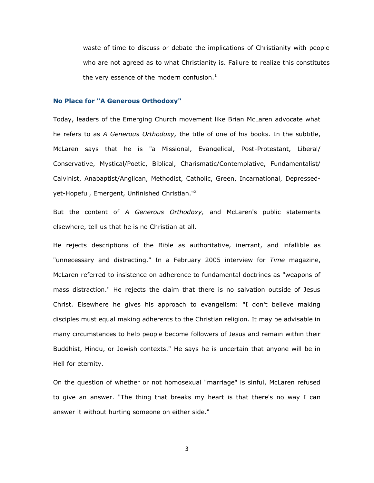waste of time to discuss or debate the implications of Christianity with people who are not agreed as to what Christianity is. Failure to realize this constitutes the very essence of the modern confusion. $<sup>1</sup>$ </sup>

## **No Place for "A Generous Orthodoxy"**

Today, leaders of the Emerging Church movement like Brian McLaren advocate what he refers to as *A Generous Orthodoxy,* the title of one of his books. In the subtitle, McLaren says that he is "a Missional, Evangelical, Post-Protestant, Liberal/ Conservative, Mystical/Poetic, Biblical, Charismatic/Contemplative, Fundamentalist/ Calvinist, Anabaptist/Anglican, Methodist, Catholic, Green, Incarnational, Depressedyet-Hopeful, Emergent, Unfinished Christian."<sup>2</sup>

But the content of *A Generous Orthodoxy,* and McLaren's public statements elsewhere, tell us that he is no Christian at all.

He rejects descriptions of the Bible as authoritative, inerrant, and infallible as "unnecessary and distracting." In a February 2005 interview for *Time* magazine, McLaren referred to insistence on adherence to fundamental doctrines as "weapons of mass distraction." He rejects the claim that there is no salvation outside of Jesus Christ. Elsewhere he gives his approach to evangelism: "I don't believe making disciples must equal making adherents to the Christian religion. It may be advisable in many circumstances to help people become followers of Jesus and remain within their Buddhist, Hindu, or Jewish contexts." He says he is uncertain that anyone will be in Hell for eternity.

On the question of whether or not homosexual "marriage" is sinful, McLaren refused to give an answer. "The thing that breaks my heart is that there's no way I can answer it without hurting someone on either side."

3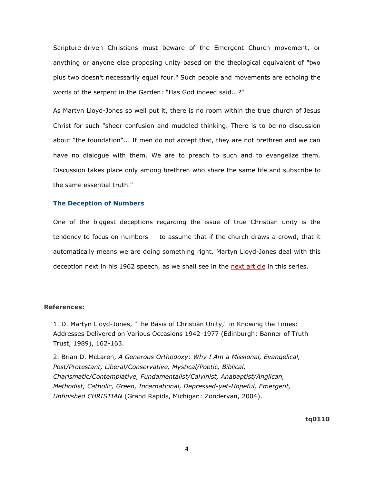Scripture-driven Christians must beware of the Emergent Church movement, or anything or anyone else proposing unity based on the theological equivalent of "two plus two doesn't necessarily equal four." Such people and movements are echoing the words of the serpent in the Garden: "Has God indeed said...?"

As Martyn Lloyd-Jones so well put it, there is no room within the true church of Jesus Christ for such "sheer confusion and muddled thinking. There is to be no discussion about "the foundation"... If men do not accept that, they are not brethren and we can have no dialogue with them. We are to preach to such and to evangelize them. Discussion takes place only among brethren who share the same life and subscribe to the same essential truth."

## **The Deception of Numbers**

One of the biggest deceptions regarding the issue of true Christian unity is the tendency to focus on numbers  $-$  to assume that if the church draws a crowd, that it automatically means we are doing something right. Martyn Lloyd-Jones deal with this deception next in his 1962 speech, as we shall see in the [next article](http://73011.netministry.com/apps/articles/default.asp?articleid=59517&columnid=5786) in this series.

### **References:**

1. D. Martyn Lloyd-Jones, "The Basis of Christian Unity," in Knowing the Times: Addresses Delivered on Various Occasions 1942-1977 (Edinburgh: Banner of Truth Trust, 1989), 162-163.

2. Brian D. McLaren, *A Generous Orthodoxy: Why I Am a Missional, Evangelical, Post/Protestant, Liberal/Conservative, Mystical/Poetic, Biblical, Charismatic/Contemplative, Fundamentalist/Calvinist, Anabaptist/Anglican, Methodist, Catholic, Green, Incarnational, Depressed-yet-Hopeful, Emergent, Unfinished CHRISTIAN* (Grand Rapids, Michigan: Zondervan, 2004).